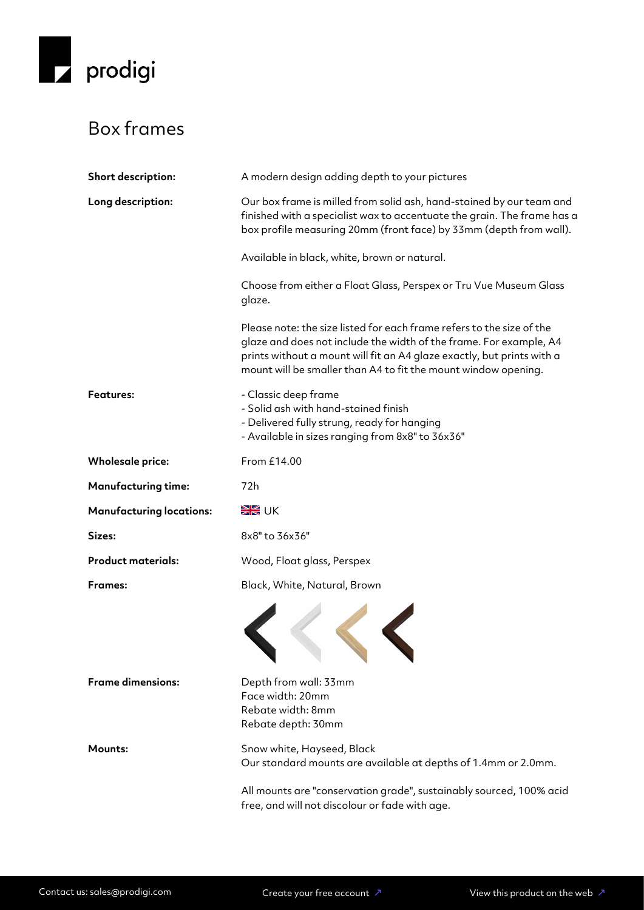

## Box frames

| Short description:              | A modern design adding depth to your pictures                                                                                                                                                                                                                                           |
|---------------------------------|-----------------------------------------------------------------------------------------------------------------------------------------------------------------------------------------------------------------------------------------------------------------------------------------|
| Long description:               | Our box frame is milled from solid ash, hand-stained by our team and<br>finished with a specialist wax to accentuate the grain. The frame has a<br>box profile measuring 20mm (front face) by 33mm (depth from wall).                                                                   |
|                                 | Available in black, white, brown or natural.                                                                                                                                                                                                                                            |
|                                 | Choose from either a Float Glass, Perspex or Tru Vue Museum Glass<br>glaze.                                                                                                                                                                                                             |
|                                 | Please note: the size listed for each frame refers to the size of the<br>glaze and does not include the width of the frame. For example, A4<br>prints without a mount will fit an A4 glaze exactly, but prints with a<br>mount will be smaller than A4 to fit the mount window opening. |
| <b>Features:</b>                | - Classic deep frame<br>- Solid ash with hand-stained finish<br>- Delivered fully strung, ready for hanging<br>- Available in sizes ranging from 8x8" to 36x36"                                                                                                                         |
| <b>Wholesale price:</b>         | From £14.00                                                                                                                                                                                                                                                                             |
| <b>Manufacturing time:</b>      | 72h                                                                                                                                                                                                                                                                                     |
| <b>Manufacturing locations:</b> | <b>EK</b> UK                                                                                                                                                                                                                                                                            |
| Sizes:                          | 8x8" to 36x36"                                                                                                                                                                                                                                                                          |
| <b>Product materials:</b>       | Wood, Float glass, Perspex                                                                                                                                                                                                                                                              |
| <b>Frames:</b>                  | Black, White, Natural, Brown                                                                                                                                                                                                                                                            |
|                                 |                                                                                                                                                                                                                                                                                         |
| <b>Frame dimensions:</b>        | Depth from wall: 33mm<br>Face width: 20mm<br>Rebate width: 8mm<br>Rebate depth: 30mm                                                                                                                                                                                                    |
| Mounts:                         | Snow white, Hayseed, Black<br>Our standard mounts are available at depths of 1.4mm or 2.0mm.                                                                                                                                                                                            |
|                                 | All mounts are "conservation grade", sustainably sourced, 100% acid<br>free, and will not discolour or fade with age.                                                                                                                                                                   |